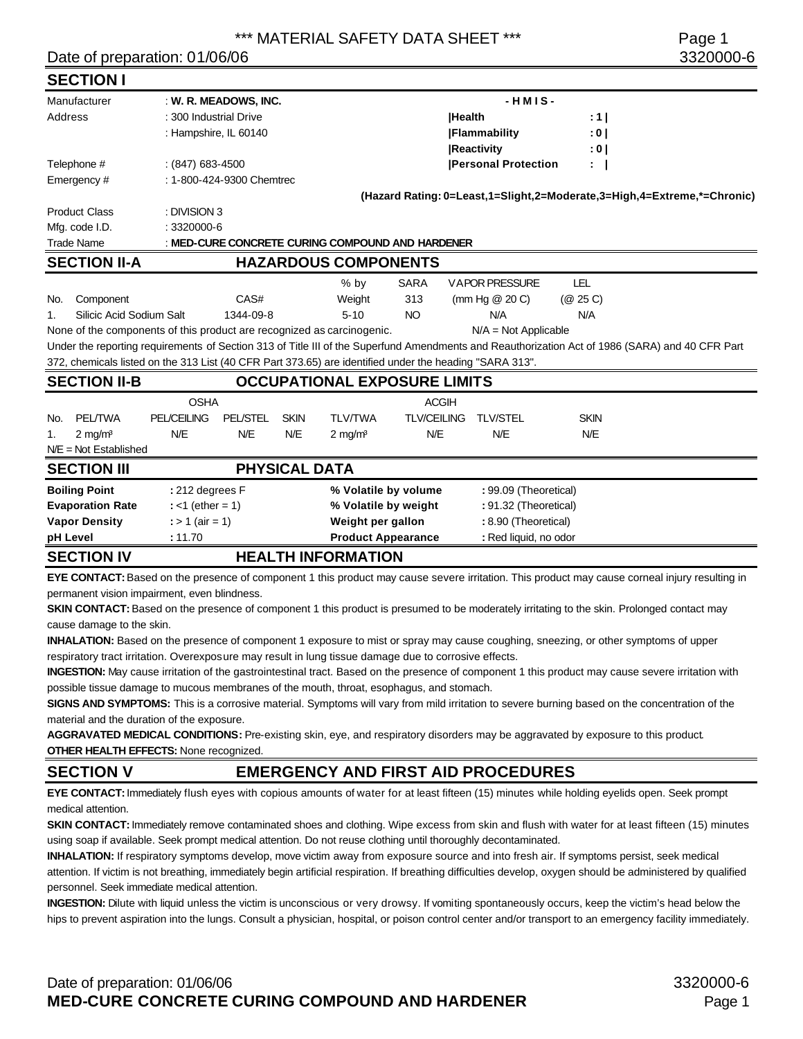### \*\*\* MATERIAL SAFETY DATA SHEET \*\*\* Page 1

## Date of preparation: 01/06/06 3320000-6

**SECTION I**

| <b>JEVIIUN I</b>                                                                                        |                        |                           |             |                                                  |                            |                        |                       |                                                                                                                                                 |  |
|---------------------------------------------------------------------------------------------------------|------------------------|---------------------------|-------------|--------------------------------------------------|----------------------------|------------------------|-----------------------|-------------------------------------------------------------------------------------------------------------------------------------------------|--|
| Manufacturer<br>: W. R. MEADOWS, INC.                                                                   |                        |                           |             |                                                  | $-HMIS-$                   |                        |                       |                                                                                                                                                 |  |
| Address                                                                                                 | : 300 Industrial Drive |                           |             |                                                  |                            | <b>Health</b>          | : 11                  |                                                                                                                                                 |  |
|                                                                                                         |                        | : Hampshire, IL 60140     |             |                                                  |                            | <b>Flammability</b>    | : 0 <sub>1</sub>      |                                                                                                                                                 |  |
|                                                                                                         |                        |                           |             |                                                  |                            | <b>IReactivity</b>     | : 0                   |                                                                                                                                                 |  |
| Telephone #<br>$(847)$ 683-4500                                                                         |                        |                           |             |                                                  | <b>Personal Protection</b> | $\sim$                 |                       |                                                                                                                                                 |  |
| Emergency#<br>: 1-800-424-9300 Chemtrec                                                                 |                        |                           |             |                                                  |                            |                        |                       |                                                                                                                                                 |  |
|                                                                                                         |                        |                           |             |                                                  |                            |                        |                       | (Hazard Rating: 0=Least,1=Slight,2=Moderate,3=High,4=Extreme,*=Chronic)                                                                         |  |
| <b>Product Class</b>                                                                                    | : DIVISION 3           |                           |             |                                                  |                            |                        |                       |                                                                                                                                                 |  |
| Mfg. code I.D.                                                                                          | $: 3320000 - 6$        |                           |             |                                                  |                            |                        |                       |                                                                                                                                                 |  |
| <b>Trade Name</b>                                                                                       |                        |                           |             | : MED-CURE CONCRETE CURING COMPOUND AND HARDENER |                            |                        |                       |                                                                                                                                                 |  |
| <b>SECTION II-A</b>                                                                                     |                        |                           |             | <b>HAZARDOUS COMPONENTS</b>                      |                            |                        |                       |                                                                                                                                                 |  |
|                                                                                                         |                        |                           |             | $%$ by                                           | <b>SARA</b>                | <b>VAPOR PRESSURE</b>  | LEL                   |                                                                                                                                                 |  |
| Component<br>No.                                                                                        |                        | CAS#                      |             | Weight                                           | 313                        | (mm Hg @ 20 C)         | (@ 25 C)              |                                                                                                                                                 |  |
| Silicic Acid Sodium Salt<br>1344-09-8<br>$1_{-}$                                                        |                        |                           | $5 - 10$    | <b>NO</b>                                        | N/A                        | N/A                    |                       |                                                                                                                                                 |  |
| None of the components of this product are recognized as carcinogenic.                                  |                        |                           |             |                                                  |                            | $N/A = Not Applicable$ |                       |                                                                                                                                                 |  |
|                                                                                                         |                        |                           |             |                                                  |                            |                        |                       | Under the reporting requirements of Section 313 of Title III of the Superfund Amendments and Reauthorization Act of 1986 (SARA) and 40 CFR Part |  |
| 372, chemicals listed on the 313 List (40 CFR Part 373.65) are identified under the heading "SARA 313". |                        |                           |             |                                                  |                            |                        |                       |                                                                                                                                                 |  |
| <b>SECTION II-B</b>                                                                                     |                        |                           |             | <b>OCCUPATIONAL EXPOSURE LIMITS</b>              |                            |                        |                       |                                                                                                                                                 |  |
| <b>OSHA</b>                                                                                             |                        |                           |             |                                                  | <b>ACGIH</b>               |                        |                       |                                                                                                                                                 |  |
| <b>PEL/TWA</b><br>No.                                                                                   | <b>PEL/CEILING</b>     | <b>PEL/STEL</b>           | <b>SKIN</b> | <b>TLV/TWA</b>                                   | <b>TLV/CEILING</b>         | <b>TLV/STEL</b>        | <b>SKIN</b>           |                                                                                                                                                 |  |
| $2 \text{ mg/m}^3$<br>1.                                                                                | N/E                    | N/E                       | N/E         | $2$ mg/m <sup>3</sup>                            | N/E                        | N/E                    | N/E                   |                                                                                                                                                 |  |
| $N/E = Not Established$                                                                                 |                        |                           |             |                                                  |                            |                        |                       |                                                                                                                                                 |  |
| <b>PHYSICAL DATA</b><br><b>SECTION III</b>                                                              |                        |                           |             |                                                  |                            |                        |                       |                                                                                                                                                 |  |
| <b>Boiling Point</b>                                                                                    |                        | : 212 degrees F           |             |                                                  | % Volatile by volume       |                        | : 99.09 (Theoretical) |                                                                                                                                                 |  |
| <b>Evaporation Rate</b>                                                                                 |                        | $: <1$ (ether = 1)        |             |                                                  | % Volatile by weight       |                        | : 91.32 (Theoretical) |                                                                                                                                                 |  |
| <b>Vapor Density</b>                                                                                    |                        | $\div$ 1 (air = 1)        |             |                                                  | Weight per gallon          |                        | : 8.90 (Theoretical)  |                                                                                                                                                 |  |
| pH Level                                                                                                | : 11.70                |                           |             | <b>Product Appearance</b>                        |                            |                        | : Red liquid, no odor |                                                                                                                                                 |  |
| <b>SECTION IV</b>                                                                                       |                        | <b>HEALTH INFORMATION</b> |             |                                                  |                            |                        |                       |                                                                                                                                                 |  |

**EYE CONTACT:**Based on the presence of component 1 this product may cause severe irritation. This product may cause corneal injury resulting in permanent vision impairment, even blindness.

**SKIN CONTACT:** Based on the presence of component 1 this product is presumed to be moderately irritating to the skin. Prolonged contact may cause damage to the skin.

**INHALATION:** Based on the presence of component 1 exposure to mist or spray may cause coughing, sneezing, or other symptoms of upper respiratory tract irritation. Overexposure may result in lung tissue damage due to corrosive effects.

**INGESTION:** May cause irritation of the gastrointestinal tract. Based on the presence of component 1 this product may cause severe irritation with possible tissue damage to mucous membranes of the mouth, throat, esophagus, and stomach.

**SIGNS AND SYMPTOMS:** This is a corrosive material. Symptoms will vary from mild irritation to severe burning based on the concentration of the material and the duration of the exposure.

**AGGRAVATED MEDICAL CONDITIONS:** Pre-existing skin, eye, and respiratory disorders may be aggravated by exposure to this product. **OTHER HEALTH EFFECTS:** None recognized.

## **SECTION V EMERGENCY AND FIRST AID PROCEDURES**

**EYE CONTACT:**Immediately flush eyes with copious amounts of water for at least fifteen (15) minutes while holding eyelids open. Seek prompt medical attention.

**SKIN CONTACT:** Immediately remove contaminated shoes and clothing. Wipe excess from skin and flush with water for at least fifteen (15) minutes using soap if available. Seek prompt medical attention. Do not reuse clothing until thoroughly decontaminated.

**INHALATION:** If respiratory symptoms develop, move victim away from exposure source and into fresh air. If symptoms persist, seek medical attention. If victim is not breathing, immediately begin artificial respiration. If breathing difficulties develop, oxygen should be administered by qualified personnel. Seek immediate medical attention.

**INGESTION:** Dilute with liquid unless the victim is unconscious or very drowsy. If vomiting spontaneously occurs, keep the victim's head below the hips to prevent aspiration into the lungs. Consult a physician, hospital, or poison control center and/or transport to an emergency facility immediately.